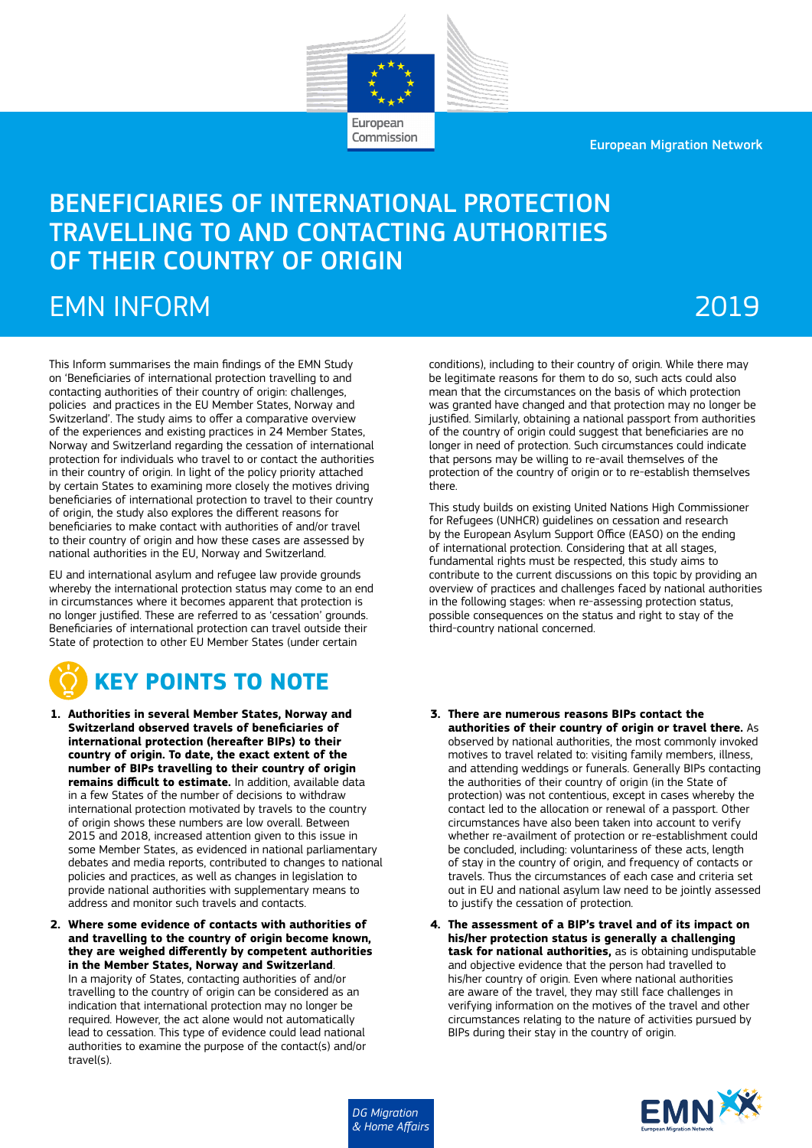European

Commission

European Migration Network

# BENEFICIARIES OF INTERNATIONAL PROTECTION TRAVELLING TO AND CONTACTING AUTHORITIES OF THEIR COUNTRY OF ORIGIN

# EMN INFORM

# 2019

This Inform summarises the main findings of the EMN Study on 'Beneficiaries of international protection travelling to and contacting authorities of their country of origin: challenges, policies and practices in the EU Member States, Norway and Switzerland'. The study aims to offer a comparative overview of the experiences and existing practices in 24 Member States, Norway and Switzerland regarding the cessation of international protection for individuals who travel to or contact the authorities in their country of origin. In light of the policy priority attached by certain States to examining more closely the motives driving beneficiaries of international protection to travel to their country of origin, the study also explores the different reasons for beneficiaries to make contact with authorities of and/or travel to their country of origin and how these cases are assessed by national authorities in the EU, Norway and Switzerland.

EU and international asylum and refugee law provide grounds whereby the international protection status may come to an end in circumstances where it becomes apparent that protection is no longer justified. These are referred to as 'cessation' grounds. Beneficiaries of international protection can travel outside their State of protection to other EU Member States (under certain

# **KEY POINTS TO NOTE**

- **1. Authorities in several Member States, Norway and Switzerland observed travels of beneficiaries of international protection (hereafter BIPs) to their country of origin. To date, the exact extent of the number of BIPs travelling to their country of origin remains difficult to estimate.** In addition, available data in a few States of the number of decisions to withdraw international protection motivated by travels to the country of origin shows these numbers are low overall. Between 2015 and 2018, increased attention given to this issue in some Member States, as evidenced in national parliamentary debates and media reports, contributed to changes to national policies and practices, as well as changes in legislation to provide national authorities with supplementary means to address and monitor such travels and contacts.
- **2. Where some evidence of contacts with authorities of and travelling to the country of origin become known, they are weighed differently by competent authorities in the Member States, Norway and Switzerland**. In a majority of States, contacting authorities of and/or travelling to the country of origin can be considered as an indication that international protection may no longer be required. However, the act alone would not automatically lead to cessation. This type of evidence could lead national authorities to examine the purpose of the contact(s) and/or travel(s).

conditions), including to their country of origin. While there may be legitimate reasons for them to do so, such acts could also mean that the circumstances on the basis of which protection was granted have changed and that protection may no longer be justified. Similarly, obtaining a national passport from authorities of the country of origin could suggest that beneficiaries are no longer in need of protection. Such circumstances could indicate that persons may be willing to re-avail themselves of the protection of the country of origin or to re-establish themselves there.

This study builds on existing United Nations High Commissioner for Refugees (UNHCR) guidelines on cessation and research by the European Asylum Support Office (EASO) on the ending of international protection. Considering that at all stages, fundamental rights must be respected, this study aims to contribute to the current discussions on this topic by providing an overview of practices and challenges faced by national authorities in the following stages: when re-assessing protection status, possible consequences on the status and right to stay of the third-country national concerned.

- **3. There are numerous reasons BIPs contact the authorities of their country of origin or travel there.** As observed by national authorities, the most commonly invoked motives to travel related to: visiting family members, illness, and attending weddings or funerals. Generally BIPs contacting the authorities of their country of origin (in the State of protection) was not contentious, except in cases whereby the contact led to the allocation or renewal of a passport. Other circumstances have also been taken into account to verify whether re-availment of protection or re-establishment could be concluded, including: voluntariness of these acts, length of stay in the country of origin, and frequency of contacts or travels. Thus the circumstances of each case and criteria set out in EU and national asylum law need to be jointly assessed to justify the cessation of protection.
- **4. The assessment of a BIP's travel and of its impact on his/her protection status is generally a challenging task for national authorities,** as is obtaining undisputable and objective evidence that the person had travelled to his/her country of origin. Even where national authorities are aware of the travel, they may still face challenges in verifying information on the motives of the travel and other circumstances relating to the nature of activities pursued by BIPs during their stay in the country of origin.

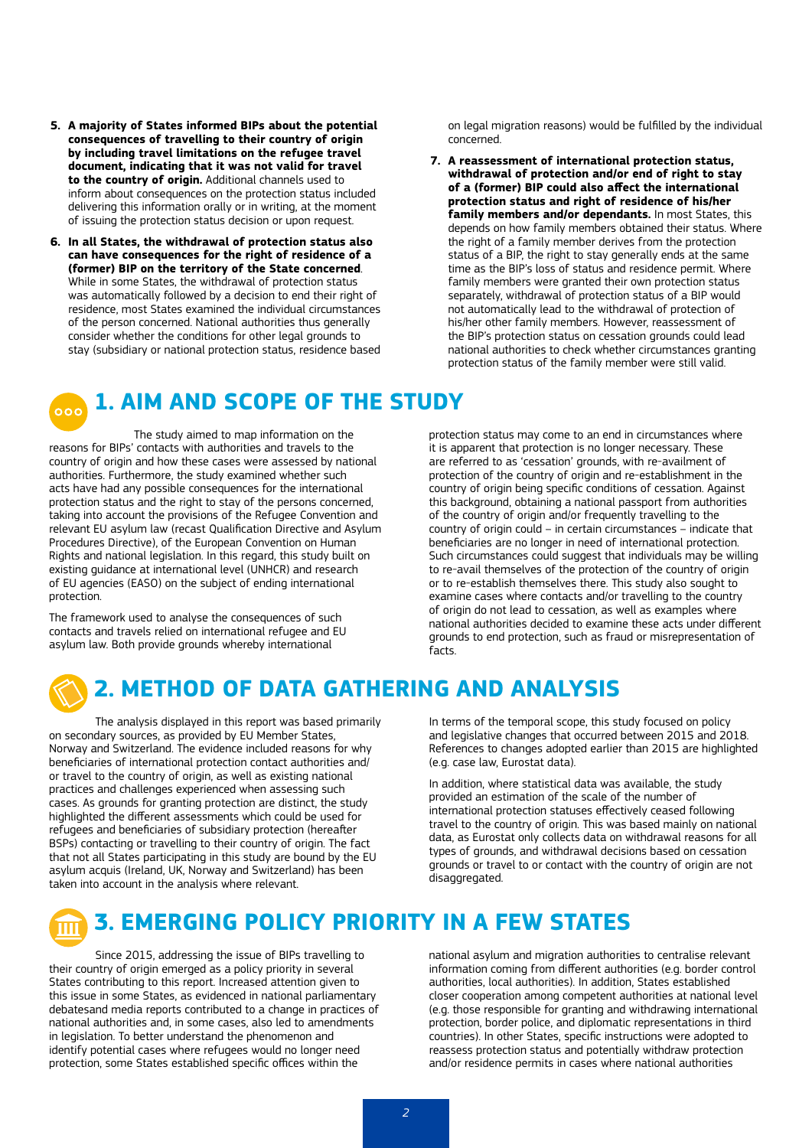- **5. A majority of States informed BIPs about the potential consequences of travelling to their country of origin by including travel limitations on the refugee travel document, indicating that it was not valid for travel to the country of origin.** Additional channels used to inform about consequences on the protection status included delivering this information orally or in writing, at the moment of issuing the protection status decision or upon request.
- **6. In all States, the withdrawal of protection status also can have consequences for the right of residence of a (former) BIP on the territory of the State concerned**. While in some States, the withdrawal of protection status was automatically followed by a decision to end their right of residence, most States examined the individual circumstances of the person concerned. National authorities thus generally consider whether the conditions for other legal grounds to stay (subsidiary or national protection status, residence based

on legal migration reasons) would be fulfilled by the individual concerned.

**7. A reassessment of international protection status, withdrawal of protection and/or end of right to stay of a (former) BIP could also affect the international protection status and right of residence of his/her family members and/or dependants.** In most States, this depends on how family members obtained their status. Where the right of a family member derives from the protection status of a BIP, the right to stay generally ends at the same time as the BIP's loss of status and residence permit. Where family members were granted their own protection status separately, withdrawal of protection status of a BIP would not automatically lead to the withdrawal of protection of his/her other family members. However, reassessment of the BIP's protection status on cessation grounds could lead national authorities to check whether circumstances granting protection status of the family member were still valid.

### **1. AIM AND SCOPE OF THE STUDY**

The study aimed to map information on the reasons for BIPs' contacts with authorities and travels to the country of origin and how these cases were assessed by national authorities. Furthermore, the study examined whether such acts have had any possible consequences for the international protection status and the right to stay of the persons concerned, taking into account the provisions of the Refugee Convention and relevant EU asylum law (recast Qualification Directive and Asylum Procedures Directive), of the European Convention on Human Rights and national legislation. In this regard, this study built on existing guidance at international level (UNHCR) and research of EU agencies (EASO) on the subject of ending international protection.

The framework used to analyse the consequences of such contacts and travels relied on international refugee and EU asylum law. Both provide grounds whereby international

protection status may come to an end in circumstances where it is apparent that protection is no longer necessary. These are referred to as 'cessation' grounds, with re-availment of protection of the country of origin and re-establishment in the country of origin being specific conditions of cessation. Against this background, obtaining a national passport from authorities of the country of origin and/or frequently travelling to the country of origin could – in certain circumstances – indicate that beneficiaries are no longer in need of international protection. Such circumstances could suggest that individuals may be willing to re-avail themselves of the protection of the country of origin or to re-establish themselves there. This study also sought to examine cases where contacts and/or travelling to the country of origin do not lead to cessation, as well as examples where national authorities decided to examine these acts under different grounds to end protection, such as fraud or misrepresentation of facts.

# **2. METHOD OF DATA GATHERING AND ANALYSIS**

The analysis displayed in this report was based primarily on secondary sources, as provided by EU Member States, Norway and Switzerland. The evidence included reasons for why beneficiaries of international protection contact authorities and/ or travel to the country of origin, as well as existing national practices and challenges experienced when assessing such cases. As grounds for granting protection are distinct, the study highlighted the different assessments which could be used for refugees and beneficiaries of subsidiary protection (hereafter BSPs) contacting or travelling to their country of origin. The fact that not all States participating in this study are bound by the EU asylum acquis (Ireland, UK, Norway and Switzerland) has been taken into account in the analysis where relevant.

In terms of the temporal scope, this study focused on policy and legislative changes that occurred between 2015 and 2018. References to changes adopted earlier than 2015 are highlighted (e.g. case law, Eurostat data).

In addition, where statistical data was available, the study provided an estimation of the scale of the number of international protection statuses effectively ceased following travel to the country of origin. This was based mainly on national data, as Eurostat only collects data on withdrawal reasons for all types of grounds, and withdrawal decisions based on cessation grounds or travel to or contact with the country of origin are not disaggregated.

# **3. EMERGING POLICY PRIORITY IN A FEW STATES**

Since 2015, addressing the issue of BIPs travelling to their country of origin emerged as a policy priority in several States contributing to this report. Increased attention given to this issue in some States, as evidenced in national parliamentary debatesand media reports contributed to a change in practices of national authorities and, in some cases, also led to amendments in legislation. To better understand the phenomenon and identify potential cases where refugees would no longer need protection, some States established specific offices within the

national asylum and migration authorities to centralise relevant information coming from different authorities (e.g. border control authorities, local authorities). In addition, States established closer cooperation among competent authorities at national level (e.g. those responsible for granting and withdrawing international protection, border police, and diplomatic representations in third countries). In other States, specific instructions were adopted to reassess protection status and potentially withdraw protection and/or residence permits in cases where national authorities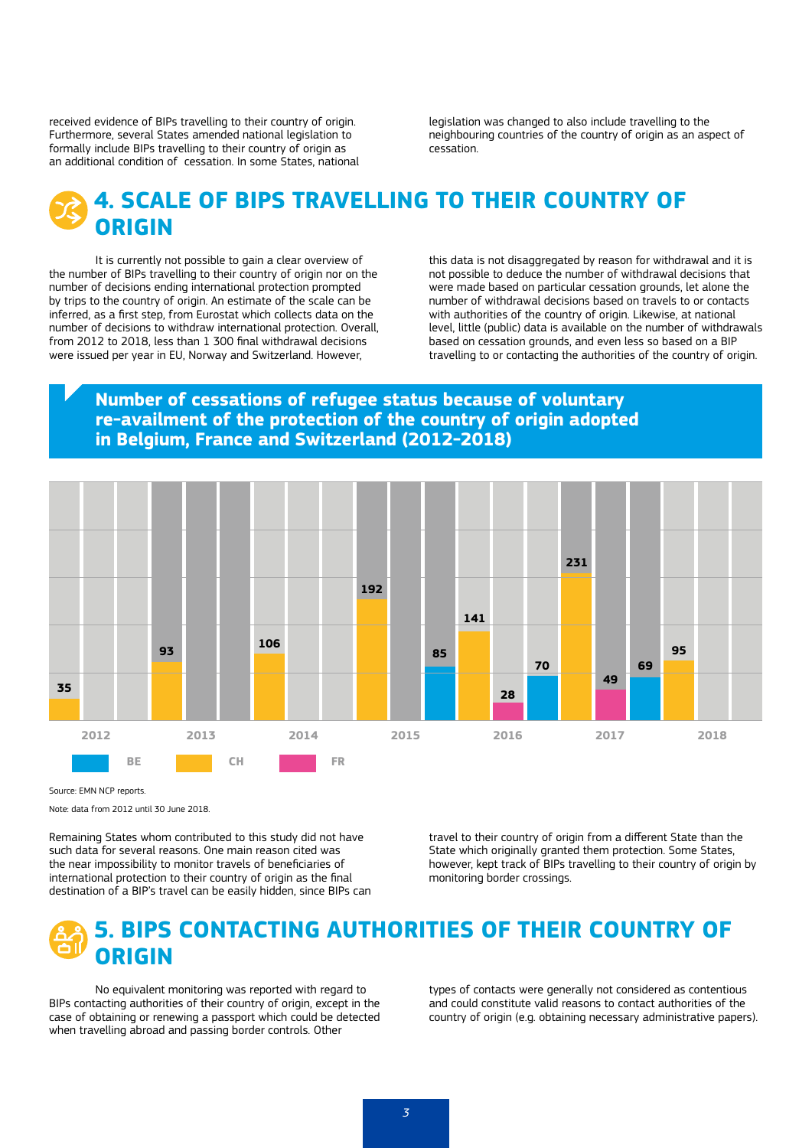received evidence of BIPs travelling to their country of origin. Furthermore, several States amended national legislation to formally include BIPs travelling to their country of origin as an additional condition of cessation. In some States, national legislation was changed to also include travelling to the neighbouring countries of the country of origin as an aspect of cessation.

### **4. SCALE OF BIPS TRAVELLING TO THEIR COUNTRY OF ORIGIN**

It is currently not possible to gain a clear overview of the number of BIPs travelling to their country of origin nor on the number of decisions ending international protection prompted by trips to the country of origin. An estimate of the scale can be inferred, as a first step, from Eurostat which collects data on the number of decisions to withdraw international protection. Overall, from 2012 to 2018, less than 1 300 final withdrawal decisions were issued per year in EU, Norway and Switzerland. However,

this data is not disaggregated by reason for withdrawal and it is not possible to deduce the number of withdrawal decisions that were made based on particular cessation grounds, let alone the number of withdrawal decisions based on travels to or contacts with authorities of the country of origin. Likewise, at national level, little (public) data is available on the number of withdrawals based on cessation grounds, and even less so based on a BIP travelling to or contacting the authorities of the country of origin.

#### **Number of cessations of refugee status because of voluntary re-availment of the protection of the country of origin adopted in Belgium, France and Switzerland (2012-2018)**



Source: EMN NCP reports.

Note: data from 2012 until 30 June 2018.

Remaining States whom contributed to this study did not have such data for several reasons. One main reason cited was the near impossibility to monitor travels of beneficiaries of international protection to their country of origin as the final destination of a BIP's travel can be easily hidden, since BIPs can travel to their country of origin from a different State than the State which originally granted them protection. Some States, however, kept track of BIPs travelling to their country of origin by monitoring border crossings.

### **5. BIPS CONTACTING AUTHORITIES OF THEIR COUNTRY OF ORIGIN**

No equivalent monitoring was reported with regard to BIPs contacting authorities of their country of origin, except in the case of obtaining or renewing a passport which could be detected when travelling abroad and passing border controls. Other

types of contacts were generally not considered as contentious and could constitute valid reasons to contact authorities of the country of origin (e.g. obtaining necessary administrative papers).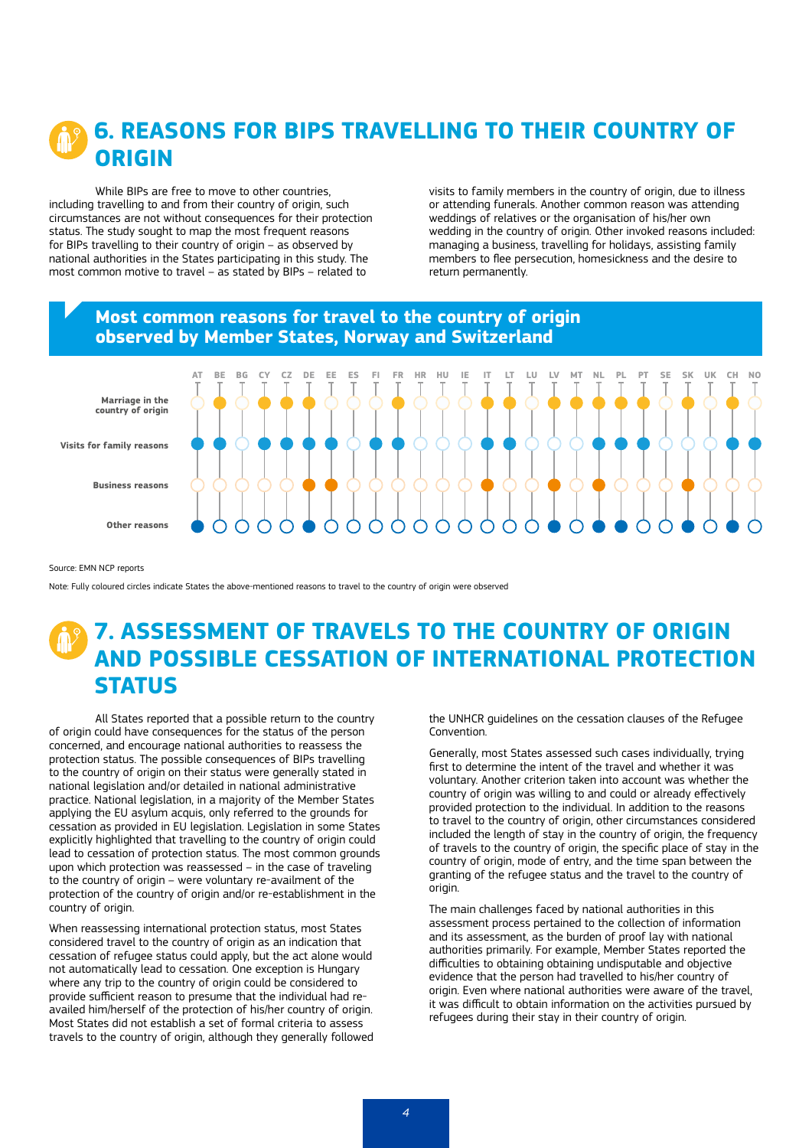### **6. REASONS FOR BIPS TRAVELLING TO THEIR COUNTRY OF ORIGIN**

While BIPs are free to move to other countries, including travelling to and from their country of origin, such circumstances are not without consequences for their protection status. The study sought to map the most frequent reasons for BIPs travelling to their country of origin – as observed by national authorities in the States participating in this study. The most common motive to travel – as stated by BIPs – related to

visits to family members in the country of origin, due to illness or attending funerals. Another common reason was attending weddings of relatives or the organisation of his/her own wedding in the country of origin. Other invoked reasons included: managing a business, travelling for holidays, assisting family members to flee persecution, homesickness and the desire to return permanently.

## **Most common reasons for travel to the country of origin observed by Member States, Norway and Switzerland Marriage in the country of origin Visits for family reasons Business reasons Other reasons** AT BE BG CY CZ DE EE ES FI FR HR HU IE IT LT LU LV MT NL PL PT SE SK UK CH NO

Source: EMN NCP reports

Note: Fully coloured circles indicate States the above-mentioned reasons to travel to the country of origin were observed

### **7. ASSESSMENT OF TRAVELS TO THE COUNTRY OF ORIGIN AND POSSIBLE CESSATION OF INTERNATIONAL PROTECTION STATUS**

All States reported that a possible return to the country of origin could have consequences for the status of the person concerned, and encourage national authorities to reassess the protection status. The possible consequences of BIPs travelling to the country of origin on their status were generally stated in national legislation and/or detailed in national administrative practice. National legislation, in a majority of the Member States applying the EU asylum acquis, only referred to the grounds for cessation as provided in EU legislation. Legislation in some States explicitly highlighted that travelling to the country of origin could lead to cessation of protection status. The most common grounds upon which protection was reassessed – in the case of traveling to the country of origin – were voluntary re-availment of the protection of the country of origin and/or re-establishment in the country of origin.

When reassessing international protection status, most States considered travel to the country of origin as an indication that cessation of refugee status could apply, but the act alone would not automatically lead to cessation. One exception is Hungary where any trip to the country of origin could be considered to provide sufficient reason to presume that the individual had reavailed him/herself of the protection of his/her country of origin. Most States did not establish a set of formal criteria to assess travels to the country of origin, although they generally followed the UNHCR guidelines on the cessation clauses of the Refugee Convention.

Generally, most States assessed such cases individually, trying first to determine the intent of the travel and whether it was voluntary. Another criterion taken into account was whether the country of origin was willing to and could or already effectively provided protection to the individual. In addition to the reasons to travel to the country of origin, other circumstances considered included the length of stay in the country of origin, the frequency of travels to the country of origin, the specific place of stay in the country of origin, mode of entry, and the time span between the granting of the refugee status and the travel to the country of origin.

The main challenges faced by national authorities in this assessment process pertained to the collection of information and its assessment, as the burden of proof lay with national authorities primarily. For example, Member States reported the difficulties to obtaining obtaining undisputable and objective evidence that the person had travelled to his/her country of origin. Even where national authorities were aware of the travel, it was difficult to obtain information on the activities pursued by refugees during their stay in their country of origin.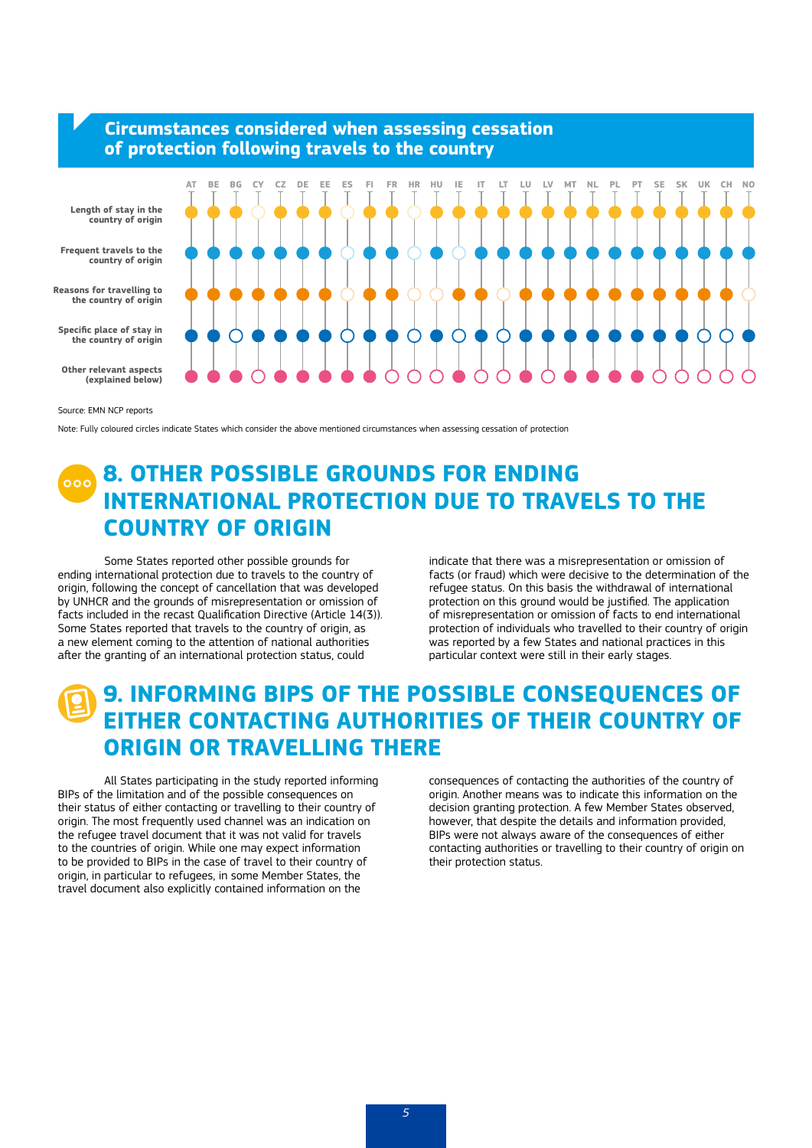

Source: EMN NCP reports

Note: Fully coloured circles indicate States which consider the above mentioned circumstances when assessing cessation of protection

#### **8. OTHER POSSIBLE GROUNDS FOR ENDING INTERNATIONAL PROTECTION DUE TO TRAVELS TO THE COUNTRY OF ORIGIN**

Some States reported other possible grounds for ending international protection due to travels to the country of origin, following the concept of cancellation that was developed by UNHCR and the grounds of misrepresentation or omission of facts included in the recast Qualification Directive (Article 14(3)). Some States reported that travels to the country of origin, as a new element coming to the attention of national authorities after the granting of an international protection status, could

indicate that there was a misrepresentation or omission of facts (or fraud) which were decisive to the determination of the refugee status. On this basis the withdrawal of international protection on this ground would be justified. The application of misrepresentation or omission of facts to end international protection of individuals who travelled to their country of origin was reported by a few States and national practices in this particular context were still in their early stages.

#### **9. INFORMING BIPS OF THE POSSIBLE CONSEQUENCES OF EITHER CONTACTING AUTHORITIES OF THEIR COUNTRY OF ORIGIN OR TRAVELLING THERE**

All States participating in the study reported informing BIPs of the limitation and of the possible consequences on their status of either contacting or travelling to their country of origin. The most frequently used channel was an indication on the refugee travel document that it was not valid for travels to the countries of origin. While one may expect information to be provided to BIPs in the case of travel to their country of origin, in particular to refugees, in some Member States, the travel document also explicitly contained information on the

consequences of contacting the authorities of the country of origin. Another means was to indicate this information on the decision granting protection. A few Member States observed, however, that despite the details and information provided, BIPs were not always aware of the consequences of either contacting authorities or travelling to their country of origin on their protection status.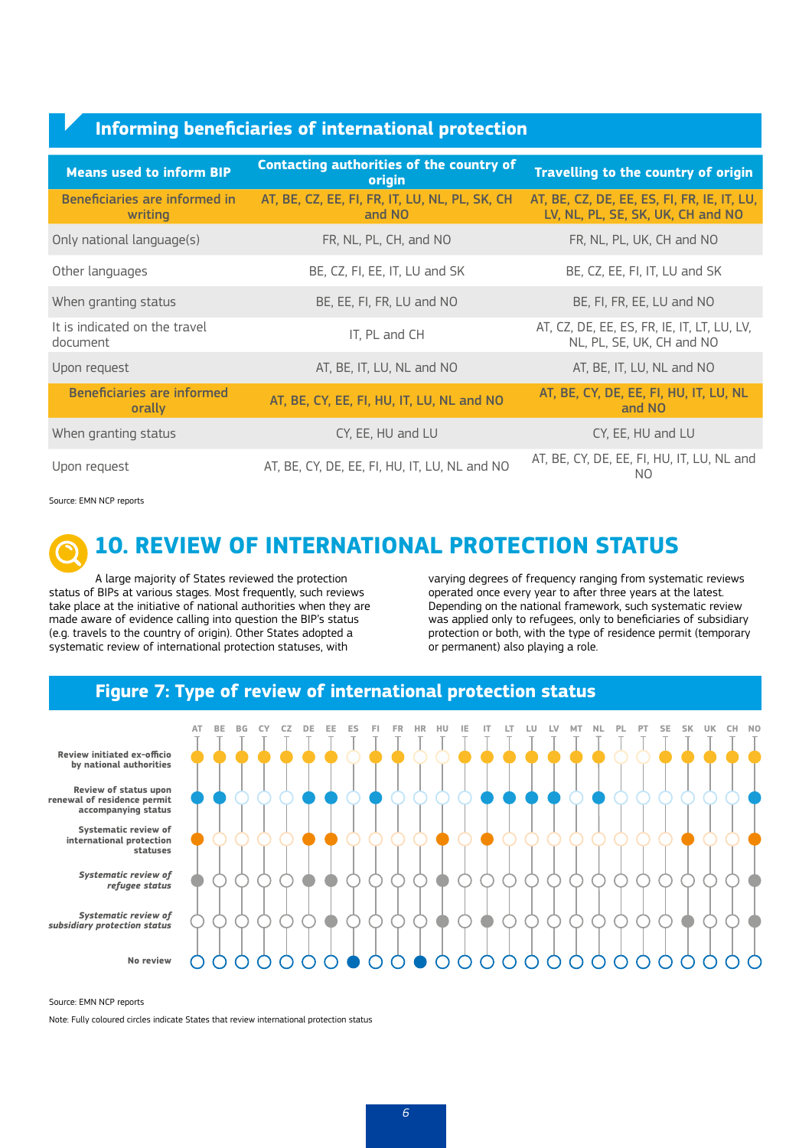#### **Informing beneficiaries of international protection**

| <b>Means used to inform BIP</b>             | <b>Contacting authorities of the country of</b><br>origin | Travelling to the country of origin                                              |
|---------------------------------------------|-----------------------------------------------------------|----------------------------------------------------------------------------------|
| Beneficiaries are informed in<br>writing    | AT, BE, CZ, EE, FI, FR, IT, LU, NL, PL, SK, CH<br>and NO  | AT, BE, CZ, DE, EE, ES, FI, FR, IE, IT, LU,<br>LV, NL, PL, SE, SK, UK, CH and NO |
| Only national language(s)                   | FR, NL, PL, CH, and NO                                    | FR, NL, PL, UK, CH and NO                                                        |
| Other languages                             | BE, CZ, FI, EE, IT, LU and SK                             | BE, CZ, EE, FI, IT, LU and SK                                                    |
| When granting status                        | BE, EE, FI, FR, LU and NO                                 | BE, FI, FR, EE, LU and NO                                                        |
| It is indicated on the travel<br>document   | IT, PL and CH                                             | AT, CZ, DE, EE, ES, FR, IE, IT, LT, LU, LV,<br>NL, PL, SE, UK, CH and NO         |
| Upon request                                | AT, BE, IT, LU, NL and NO                                 | AT, BE, IT, LU, NL and NO                                                        |
| <b>Beneficiaries are informed</b><br>orally | AT, BE, CY, EE, FI, HU, IT, LU, NL and NO                 | AT, BE, CY, DE, EE, FI, HU, IT, LU, NL<br>and NO                                 |
| When granting status                        | CY, EE, HU and LU                                         | CY, EE, HU and LU                                                                |
| Upon request                                | AT, BE, CY, DE, EE, FI, HU, IT, LU, NL and NO             | AT, BE, CY, DE, EE, FI, HU, IT, LU, NL and<br>NO.                                |

Source: EMN NCP reports



#### **10. REVIEW OF INTERNATIONAL PROTECTION STATUS**

A large majority of States reviewed the protection status of BIPs at various stages. Most frequently, such reviews take place at the initiative of national authorities when they are made aware of evidence calling into question the BIP's status (e.g. travels to the country of origin). Other States adopted a systematic review of international protection statuses, with

varying degrees of frequency ranging from systematic reviews operated once every year to after three years at the latest. Depending on the national framework, such systematic review was applied only to refugees, only to beneficiaries of subsidiary protection or both, with the type of residence permit (temporary or permanent) also playing a role.





Source: EMN NCP reports

Note: Fully coloured circles indicate States that review international protection status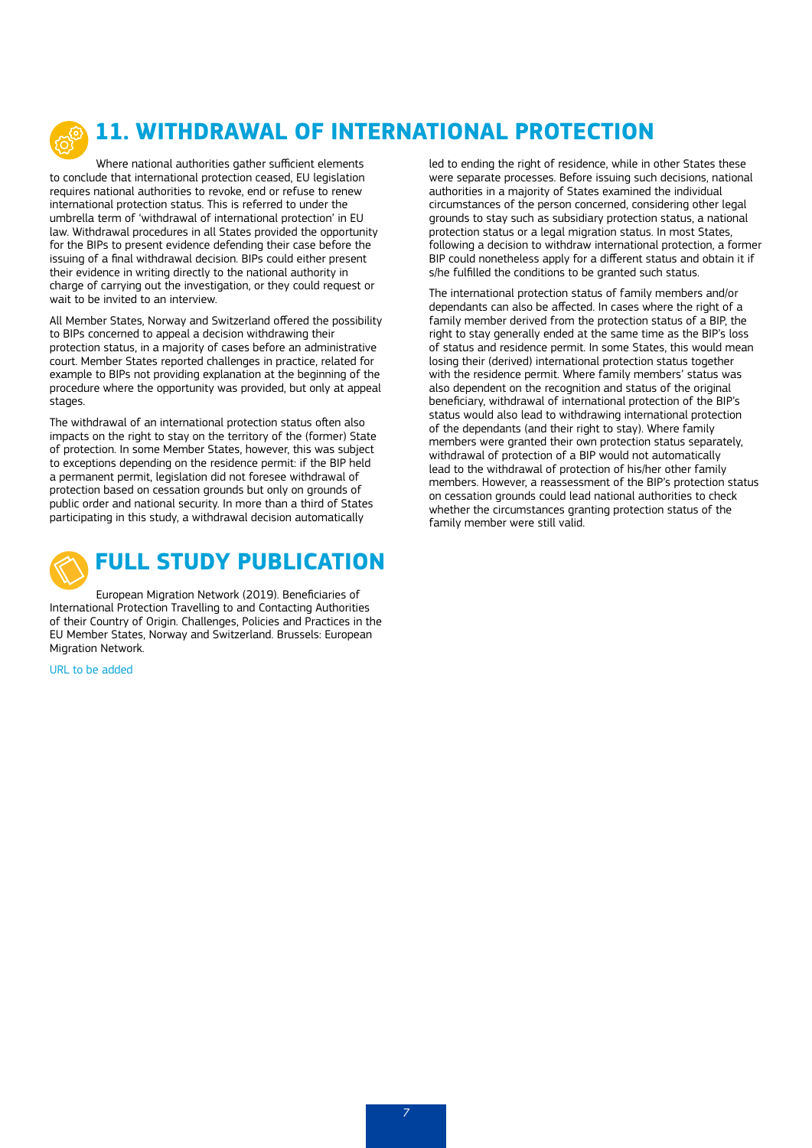

# **11. WITHDRAWAL OF INTERNATIONAL PROTECTION**

Where national authorities gather sufficient elements to conclude that international protection ceased, EU legislation requires national authorities to revoke, end or refuse to renew international protection status. This is referred to under the umbrella term of 'withdrawal of international protection' in EU law. Withdrawal procedures in all States provided the opportunity for the BIPs to present evidence defending their case before the issuing of a final withdrawal decision. BIPs could either present their evidence in writing directly to the national authority in charge of carrying out the investigation, or they could request or wait to be invited to an interview.

All Member States, Norway and Switzerland offered the possibility to BIPs concerned to appeal a decision withdrawing their protection status, in a majority of cases before an administrative court. Member States reported challenges in practice, related for example to BIPs not providing explanation at the beginning of the procedure where the opportunity was provided, but only at appeal stages.

The withdrawal of an international protection status often also impacts on the right to stay on the territory of the (former) State of protection. In some Member States, however, this was subject to exceptions depending on the residence permit: if the BIP held a permanent permit, legislation did not foresee withdrawal of protection based on cessation grounds but only on grounds of public order and national security. In more than a third of States participating in this study, a withdrawal decision automatically



European Migration Network (2019). Beneficiaries of International Protection Travelling to and Contacting Authorities of their Country of Origin. Challenges, Policies and Practices in the EU Member States, Norway and Switzerland. Brussels: European Migration Network.

[URL to be added](http://URL to be added )

led to ending the right of residence, while in other States these were separate processes. Before issuing such decisions, national authorities in a majority of States examined the individual circumstances of the person concerned, considering other legal grounds to stay such as subsidiary protection status, a national protection status or a legal migration status. In most States, following a decision to withdraw international protection, a former BIP could nonetheless apply for a different status and obtain it if s/he fulfilled the conditions to be granted such status.

The international protection status of family members and/or dependants can also be affected. In cases where the right of a family member derived from the protection status of a BIP, the right to stay generally ended at the same time as the BIP's loss of status and residence permit. In some States, this would mean losing their (derived) international protection status together with the residence permit. Where family members' status was also dependent on the recognition and status of the original beneficiary, withdrawal of international protection of the BIP's status would also lead to withdrawing international protection of the dependants (and their right to stay). Where family members were granted their own protection status separately, withdrawal of protection of a BIP would not automatically lead to the withdrawal of protection of his/her other family members. However, a reassessment of the BIP's protection status on cessation grounds could lead national authorities to check whether the circumstances granting protection status of the family member were still valid.